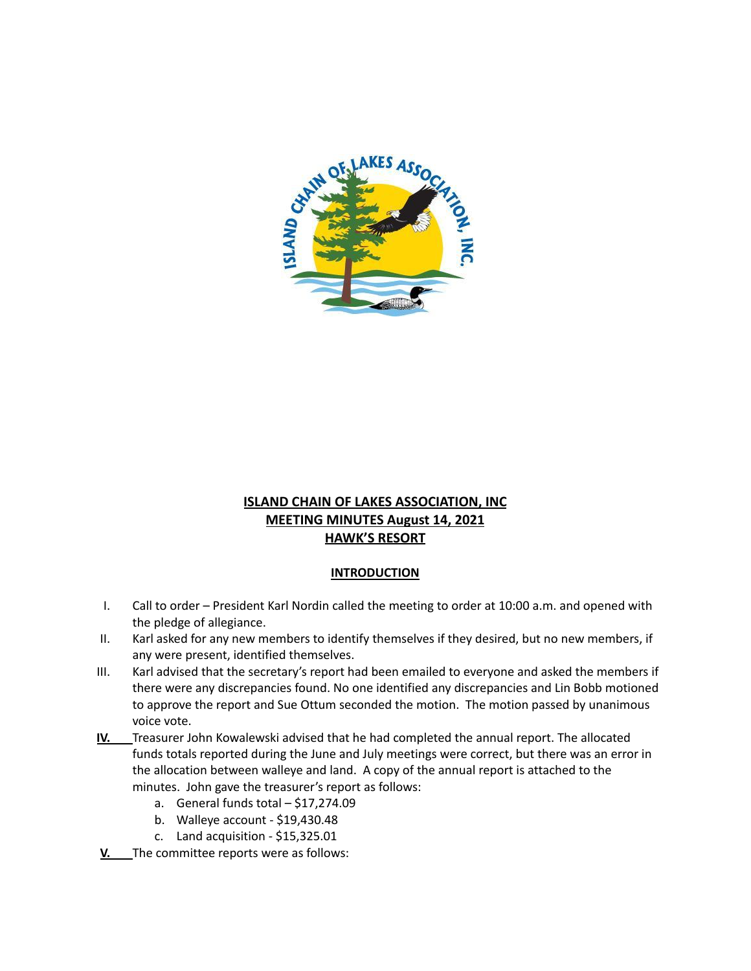

## **ISLAND CHAIN OF LAKES ASSOCIATION, INC MEETING MINUTES August 14, 2021 HAWK'S RESORT**

## **INTRODUCTION**

- I. Call to order President Karl Nordin called the meeting to order at 10:00 a.m. and opened with the pledge of allegiance.
- II. Karl asked for any new members to identify themselves if they desired, but no new members, if any were present, identified themselves.
- III. Karl advised that the secretary's report had been emailed to everyone and asked the members if there were any discrepancies found. No one identified any discrepancies and Lin Bobb motioned to approve the report and Sue Ottum seconded the motion. The motion passed by unanimous voice vote.
- **IV.** Treasurer John Kowalewski advised that he had completed the annual report. The allocated funds totals reported during the June and July meetings were correct, but there was an error in the allocation between walleye and land. A copy of the annual report is attached to the minutes. John gave the treasurer's report as follows:
	- a. General funds total \$17,274.09
	- b. Walleye account \$19,430.48
	- c. Land acquisition \$15,325.01
- **V.** The committee reports were as follows: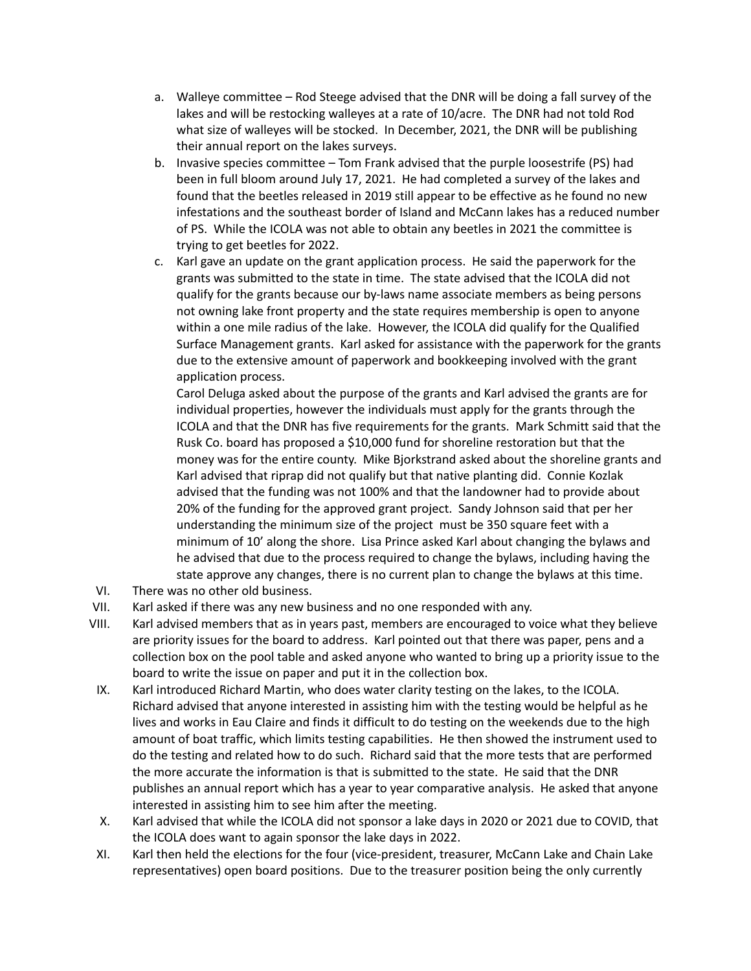- a. Walleye committee Rod Steege advised that the DNR will be doing a fall survey of the lakes and will be restocking walleyes at a rate of 10/acre. The DNR had not told Rod what size of walleyes will be stocked. In December, 2021, the DNR will be publishing their annual report on the lakes surveys.
- b. Invasive species committee Tom Frank advised that the purple loosestrife (PS) had been in full bloom around July 17, 2021. He had completed a survey of the lakes and found that the beetles released in 2019 still appear to be effective as he found no new infestations and the southeast border of Island and McCann lakes has a reduced number of PS. While the ICOLA was not able to obtain any beetles in 2021 the committee is trying to get beetles for 2022.
- c. Karl gave an update on the grant application process. He said the paperwork for the grants was submitted to the state in time. The state advised that the ICOLA did not qualify for the grants because our by-laws name associate members as being persons not owning lake front property and the state requires membership is open to anyone within a one mile radius of the lake. However, the ICOLA did qualify for the Qualified Surface Management grants. Karl asked for assistance with the paperwork for the grants due to the extensive amount of paperwork and bookkeeping involved with the grant application process.

Carol Deluga asked about the purpose of the grants and Karl advised the grants are for individual properties, however the individuals must apply for the grants through the ICOLA and that the DNR has five requirements for the grants. Mark Schmitt said that the Rusk Co. board has proposed a \$10,000 fund for shoreline restoration but that the money was for the entire county. Mike Bjorkstrand asked about the shoreline grants and Karl advised that riprap did not qualify but that native planting did. Connie Kozlak advised that the funding was not 100% and that the landowner had to provide about 20% of the funding for the approved grant project. Sandy Johnson said that per her understanding the minimum size of the project must be 350 square feet with a minimum of 10' along the shore. Lisa Prince asked Karl about changing the bylaws and he advised that due to the process required to change the bylaws, including having the state approve any changes, there is no current plan to change the bylaws at this time.

- VI. There was no other old business.
- VII. Karl asked if there was any new business and no one responded with any.
- VIII. Karl advised members that as in years past, members are encouraged to voice what they believe are priority issues for the board to address. Karl pointed out that there was paper, pens and a collection box on the pool table and asked anyone who wanted to bring up a priority issue to the board to write the issue on paper and put it in the collection box.
- IX. Karl introduced Richard Martin, who does water clarity testing on the lakes, to the ICOLA. Richard advised that anyone interested in assisting him with the testing would be helpful as he lives and works in Eau Claire and finds it difficult to do testing on the weekends due to the high amount of boat traffic, which limits testing capabilities. He then showed the instrument used to do the testing and related how to do such. Richard said that the more tests that are performed the more accurate the information is that is submitted to the state. He said that the DNR publishes an annual report which has a year to year comparative analysis. He asked that anyone interested in assisting him to see him after the meeting.
- X. Karl advised that while the ICOLA did not sponsor a lake days in 2020 or 2021 due to COVID, that the ICOLA does want to again sponsor the lake days in 2022.
- XI. Karl then held the elections for the four (vice-president, treasurer, McCann Lake and Chain Lake representatives) open board positions. Due to the treasurer position being the only currently